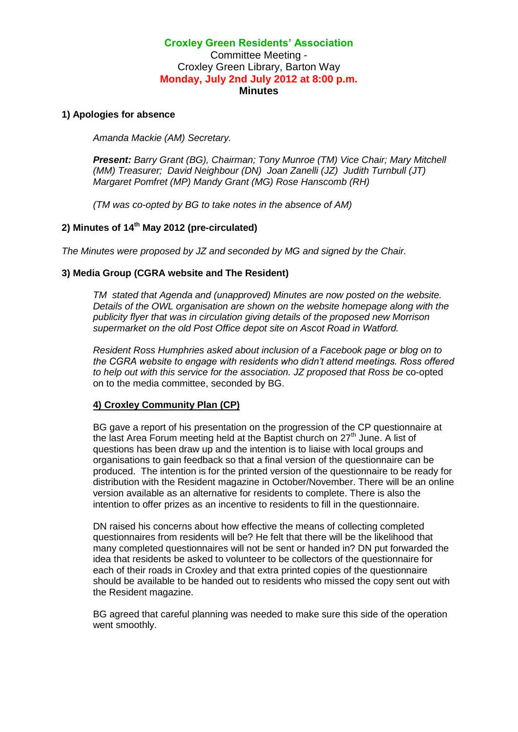# **Croxley Green Residents' Association** Committee Meeting - Croxley Green Library, Barton Way **Monday, July 2nd July 2012 at 8:00 p.m. Minutes**

#### **1) Apologies for absence**

*Amanda Mackie (AM) Secretary.*

*Present: Barry Grant (BG), Chairman; Tony Munroe (TM) Vice Chair; Mary Mitchell (MM) Treasurer; David Neighbour (DN) Joan Zanelli (JZ) Judith Turnbull (JT) Margaret Pomfret (MP) Mandy Grant (MG) Rose Hanscomb (RH)*

*(TM was co-opted by BG to take notes in the absence of AM)*

# **2) Minutes of 14th May 2012 (pre-circulated)**

*The Minutes were proposed by JZ and seconded by MG and signed by the Chair.*

#### **3) Media Group (CGRA website and The Resident)**

*TM stated that Agenda and (unapproved) Minutes are now posted on the website. Details of the OWL organisation are shown on the website homepage along with the publicity flyer that was in circulation giving details of the proposed new Morrison supermarket on the old Post Office depot site on Ascot Road in Watford.*

*Resident Ross Humphries asked about inclusion of a Facebook page or blog on to the CGRA website to engage with residents who didn't attend meetings. Ross offered to help out with this service for the association. JZ proposed that Ross be* co-opted on to the media committee, seconded by BG.

## **4) Croxley Community Plan (CP)**

BG gave a report of his presentation on the progression of the CP questionnaire at the last Area Forum meeting held at the Baptist church on  $27<sup>th</sup>$  June. A list of questions has been draw up and the intention is to liaise with local groups and organisations to gain feedback so that a final version of the questionnaire can be produced. The intention is for the printed version of the questionnaire to be ready for distribution with the Resident magazine in October/November. There will be an online version available as an alternative for residents to complete. There is also the intention to offer prizes as an incentive to residents to fill in the questionnaire.

DN raised his concerns about how effective the means of collecting completed questionnaires from residents will be? He felt that there will be the likelihood that many completed questionnaires will not be sent or handed in? DN put forwarded the idea that residents be asked to volunteer to be collectors of the questionnaire for each of their roads in Croxley and that extra printed copies of the questionnaire should be available to be handed out to residents who missed the copy sent out with the Resident magazine.

BG agreed that careful planning was needed to make sure this side of the operation went smoothly.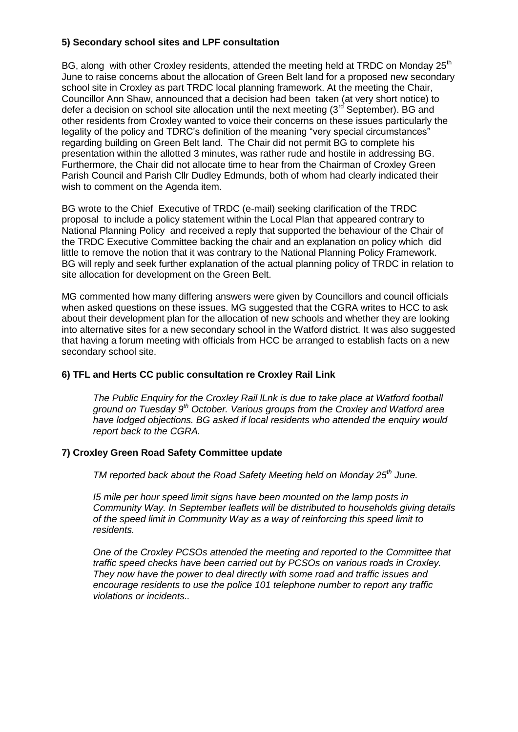# **5) Secondary school sites and LPF consultation**

BG, along with other Croxley residents, attended the meeting held at TRDC on Monday  $25<sup>th</sup>$ June to raise concerns about the allocation of Green Belt land for a proposed new secondary school site in Croxley as part TRDC local planning framework. At the meeting the Chair, Councillor Ann Shaw, announced that a decision had been taken (at very short notice) to defer a decision on school site allocation until the next meeting  $(3<sup>rd</sup>$  September). BG and other residents from Croxley wanted to voice their concerns on these issues particularly the legality of the policy and TDRC's definition of the meaning "very special circumstances" regarding building on Green Belt land. The Chair did not permit BG to complete his presentation within the allotted 3 minutes, was rather rude and hostile in addressing BG. Furthermore, the Chair did not allocate time to hear from the Chairman of Croxley Green Parish Council and Parish Cllr Dudley Edmunds, both of whom had clearly indicated their wish to comment on the Agenda item.

BG wrote to the Chief Executive of TRDC (e-mail) seeking clarification of the TRDC proposal to include a policy statement within the Local Plan that appeared contrary to National Planning Policy and received a reply that supported the behaviour of the Chair of the TRDC Executive Committee backing the chair and an explanation on policy which did little to remove the notion that it was contrary to the National Planning Policy Framework. BG will reply and seek further explanation of the actual planning policy of TRDC in relation to site allocation for development on the Green Belt.

MG commented how many differing answers were given by Councillors and council officials when asked questions on these issues. MG suggested that the CGRA writes to HCC to ask about their development plan for the allocation of new schools and whether they are looking into alternative sites for a new secondary school in the Watford district. It was also suggested that having a forum meeting with officials from HCC be arranged to establish facts on a new secondary school site.

## **6) TFL and Herts CC public consultation re Croxley Rail Link**

*The Public Enquiry for the Croxley Rail lLnk is due to take place at Watford football ground on Tuesday 9th October. Various groups from the Croxley and Watford area have lodged objections. BG asked if local residents who attended the enquiry would report back to the CGRA.* 

## **7) Croxley Green Road Safety Committee update**

*TM reported back about the Road Safety Meeting held on Monday 25th June.*

*I5 mile per hour speed limit signs have been mounted on the lamp posts in Community Way. In September leaflets will be distributed to households giving details of the speed limit in Community Way as a way of reinforcing this speed limit to residents.*

*One of the Croxley PCSOs attended the meeting and reported to the Committee that traffic speed checks have been carried out by PCSOs on various roads in Croxley. They now have the power to deal directly with some road and traffic issues and encourage residents to use the police 101 telephone number to report any traffic violations or incidents..*